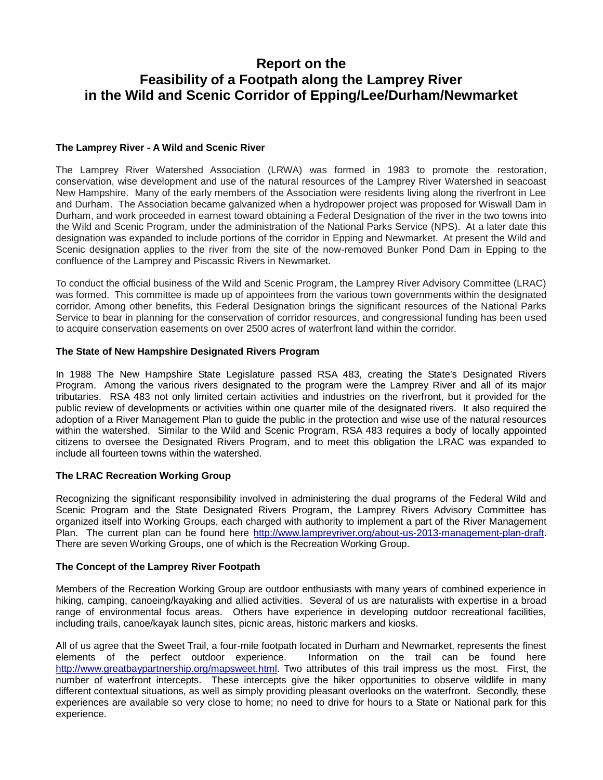# **Report on the Feasibility of a Footpath along the Lamprey River in the Wild and Scenic Corridor of Epping/Lee/Durham/Newmarket**

## **The Lamprey River - A Wild and Scenic River**

The Lamprey River Watershed Association (LRWA) was formed in 1983 to promote the restoration, conservation, wise development and use of the natural resources of the Lamprey River Watershed in seacoast New Hampshire. Many of the early members of the Association were residents living along the riverfront in Lee and Durham. The Association became galvanized when a hydropower project was proposed for Wiswall Dam in Durham, and work proceeded in earnest toward obtaining a Federal Designation of the river in the two towns into the Wild and Scenic Program, under the administration of the National Parks Service (NPS). At a later date this designation was expanded to include portions of the corridor in Epping and Newmarket. At present the Wild and Scenic designation applies to the river from the site of the now-removed Bunker Pond Dam in Epping to the confluence of the Lamprey and Piscassic Rivers in Newmarket.

To conduct the official business of the Wild and Scenic Program, the Lamprey River Advisory Committee (LRAC) was formed. This committee is made up of appointees from the various town governments within the designated corridor. Among other benefits, this Federal Designation brings the significant resources of the National Parks Service to bear in planning for the conservation of corridor resources, and congressional funding has been used to acquire conservation easements on over 2500 acres of waterfront land within the corridor.

## **The State of New Hampshire Designated Rivers Program**

In 1988 The New Hampshire State Legislature passed RSA 483, creating the State's Designated Rivers Program. Among the various rivers designated to the program were the Lamprey River and all of its major tributaries. RSA 483 not only limited certain activities and industries on the riverfront, but it provided for the public review of developments or activities within one quarter mile of the designated rivers. It also required the adoption of a River Management Plan to guide the public in the protection and wise use of the natural resources within the watershed. Similar to the Wild and Scenic Program, RSA 483 requires a body of locally appointed citizens to oversee the Designated Rivers Program, and to meet this obligation the LRAC was expanded to include all fourteen towns within the watershed.

## **The LRAC Recreation Working Group**

Recognizing the significant responsibility involved in administering the dual programs of the Federal Wild and Scenic Program and the State Designated Rivers Program, the Lamprey Rivers Advisory Committee has organized itself into Working Groups, each charged with authority to implement a part of the River Management Plan. The current plan can be found here [http://www.lampreyriver.org/about-us-2013-management-plan-draft.](http://www.lampreyriver.org/about-us-2013-management-plan-draft) There are seven Working Groups, one of which is the Recreation Working Group.

## **The Concept of the Lamprey River Footpath**

Members of the Recreation Working Group are outdoor enthusiasts with many years of combined experience in hiking, camping, canoeing/kayaking and allied activities. Several of us are naturalists with expertise in a broad range of environmental focus areas. Others have experience in developing outdoor recreational facilities, including trails, canoe/kayak launch sites, picnic areas, historic markers and kiosks.

All of us agree that the Sweet Trail, a four-mile footpath located in Durham and Newmarket, represents the finest elements of the perfect outdoor experience. Information on the trail can be found here [http://www.greatbaypartnership.org/mapsweet.html.](http://www.greatbaypartnership.org/mapsweet.html) Two attributes of this trail impress us the most. First, the number of waterfront intercepts. These intercepts give the hiker opportunities to observe wildlife in many different contextual situations, as well as simply providing pleasant overlooks on the waterfront. Secondly, these experiences are available so very close to home; no need to drive for hours to a State or National park for this experience.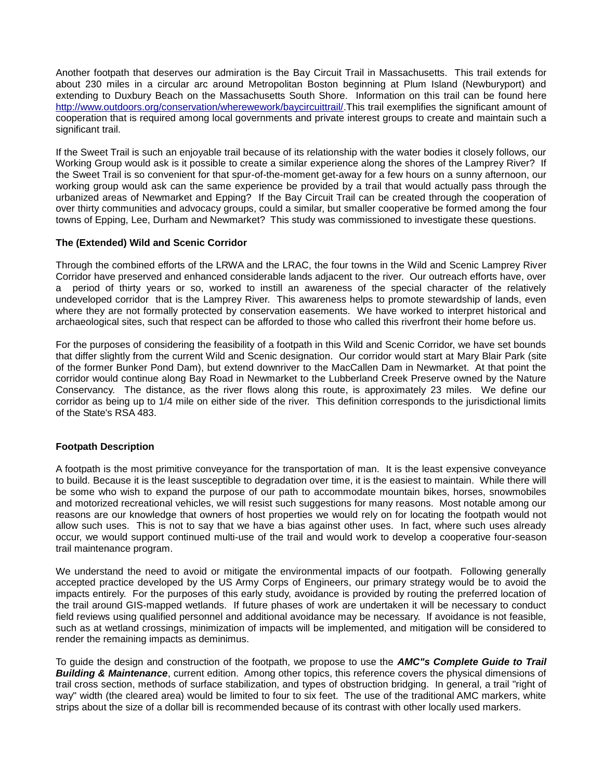Another footpath that deserves our admiration is the Bay Circuit Trail in Massachusetts. This trail extends for about 230 miles in a circular arc around Metropolitan Boston beginning at Plum Island (Newburyport) and extending to Duxbury Beach on the Massachusetts South Shore. Information on this trail can be found here [http://www.outdoors.org/conservation/wherewework/baycircuittrail/.](http://www.outdoors.org/conservation/wherewework/baycircuittrail/)This trail exemplifies the significant amount of cooperation that is required among local governments and private interest groups to create and maintain such a significant trail.

If the Sweet Trail is such an enjoyable trail because of its relationship with the water bodies it closely follows, our Working Group would ask is it possible to create a similar experience along the shores of the Lamprey River? If the Sweet Trail is so convenient for that spur-of-the-moment get-away for a few hours on a sunny afternoon, our working group would ask can the same experience be provided by a trail that would actually pass through the urbanized areas of Newmarket and Epping? If the Bay Circuit Trail can be created through the cooperation of over thirty communities and advocacy groups, could a similar, but smaller cooperative be formed among the four towns of Epping, Lee, Durham and Newmarket? This study was commissioned to investigate these questions.

# **The (Extended) Wild and Scenic Corridor**

Through the combined efforts of the LRWA and the LRAC, the four towns in the Wild and Scenic Lamprey River Corridor have preserved and enhanced considerable lands adjacent to the river. Our outreach efforts have, over a period of thirty years or so, worked to instill an awareness of the special character of the relatively undeveloped corridor that is the Lamprey River. This awareness helps to promote stewardship of lands, even where they are not formally protected by conservation easements. We have worked to interpret historical and archaeological sites, such that respect can be afforded to those who called this riverfront their home before us.

For the purposes of considering the feasibility of a footpath in this Wild and Scenic Corridor, we have set bounds that differ slightly from the current Wild and Scenic designation. Our corridor would start at Mary Blair Park (site of the former Bunker Pond Dam), but extend downriver to the MacCallen Dam in Newmarket. At that point the corridor would continue along Bay Road in Newmarket to the Lubberland Creek Preserve owned by the Nature Conservancy. The distance, as the river flows along this route, is approximately 23 miles. We define our corridor as being up to 1/4 mile on either side of the river. This definition corresponds to the jurisdictional limits of the State's RSA 483.

## **Footpath Description**

A footpath is the most primitive conveyance for the transportation of man. It is the least expensive conveyance to build. Because it is the least susceptible to degradation over time, it is the easiest to maintain. While there will be some who wish to expand the purpose of our path to accommodate mountain bikes, horses, snowmobiles and motorized recreational vehicles, we will resist such suggestions for many reasons. Most notable among our reasons are our knowledge that owners of host properties we would rely on for locating the footpath would not allow such uses. This is not to say that we have a bias against other uses. In fact, where such uses already occur, we would support continued multi-use of the trail and would work to develop a cooperative four-season trail maintenance program.

We understand the need to avoid or mitigate the environmental impacts of our footpath. Following generally accepted practice developed by the US Army Corps of Engineers, our primary strategy would be to avoid the impacts entirely. For the purposes of this early study, avoidance is provided by routing the preferred location of the trail around GIS-mapped wetlands. If future phases of work are undertaken it will be necessary to conduct field reviews using qualified personnel and additional avoidance may be necessary. If avoidance is not feasible, such as at wetland crossings, minimization of impacts will be implemented, and mitigation will be considered to render the remaining impacts as deminimus.

To guide the design and construction of the footpath, we propose to use the *AMC"s Complete Guide to Trail Building & Maintenance*, current edition. Among other topics, this reference covers the physical dimensions of trail cross section, methods of surface stabilization, and types of obstruction bridging. In general, a trail "right of way" width (the cleared area) would be limited to four to six feet. The use of the traditional AMC markers, white strips about the size of a dollar bill is recommended because of its contrast with other locally used markers.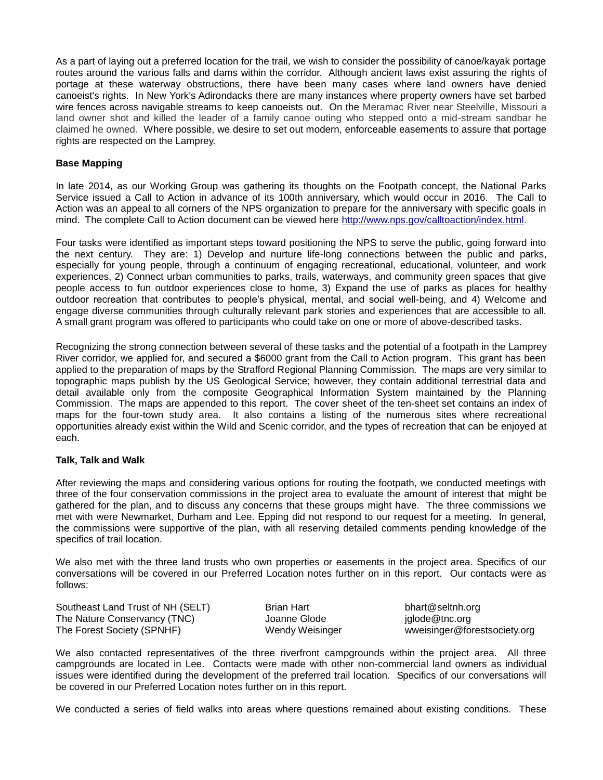As a part of laying out a preferred location for the trail, we wish to consider the possibility of canoe/kayak portage routes around the various falls and dams within the corridor. Although ancient laws exist assuring the rights of portage at these waterway obstructions, there have been many cases where land owners have denied canoeist's rights. In New York's Adirondacks there are many instances where property owners have set barbed wire fences across navigable streams to keep canoeists out. On the Meramac River near Steelville, Missouri a land owner shot and killed the leader of a family canoe outing who stepped onto a mid-stream sandbar he claimed he owned. Where possible, we desire to set out modern, enforceable easements to assure that portage rights are respected on the Lamprey.

# **Base Mapping**

In late 2014, as our Working Group was gathering its thoughts on the Footpath concept, the National Parks Service issued a Call to Action in advance of its 100th anniversary, which would occur in 2016. The Call to Action was an appeal to all corners of the NPS organization to prepare for the anniversary with specific goals in mind. The complete Call to Action document can be viewed here [http://www.nps.gov/calltoaction/index.html.](http://www.nps.gov/calltoaction/index.html)

Four tasks were identified as important steps toward positioning the NPS to serve the public, going forward into the next century. They are: 1) Develop and nurture life-long connections between the public and parks, especially for young people, through a continuum of engaging recreational, educational, volunteer, and work experiences, 2) Connect urban communities to parks, trails, waterways, and community green spaces that give people access to fun outdoor experiences close to home, 3) Expand the use of parks as places for healthy outdoor recreation that contributes to people's physical, mental, and social well-being, and 4) Welcome and engage diverse communities through culturally relevant park stories and experiences that are accessible to all. A small grant program was offered to participants who could take on one or more of above-described tasks.

Recognizing the strong connection between several of these tasks and the potential of a footpath in the Lamprey River corridor, we applied for, and secured a \$6000 grant from the Call to Action program. This grant has been applied to the preparation of maps by the Strafford Regional Planning Commission. The maps are very similar to topographic maps publish by the US Geological Service; however, they contain additional terrestrial data and detail available only from the composite Geographical Information System maintained by the Planning Commission. The maps are appended to this report. The cover sheet of the ten-sheet set contains an index of maps for the four-town study area. It also contains a listing of the numerous sites where recreational opportunities already exist within the Wild and Scenic corridor, and the types of recreation that can be enjoyed at each.

## **Talk, Talk and Walk**

After reviewing the maps and considering various options for routing the footpath, we conducted meetings with three of the four conservation commissions in the project area to evaluate the amount of interest that might be gathered for the plan, and to discuss any concerns that these groups might have. The three commissions we met with were Newmarket, Durham and Lee. Epping did not respond to our request for a meeting. In general, the commissions were supportive of the plan, with all reserving detailed comments pending knowledge of the specifics of trail location.

We also met with the three land trusts who own properties or easements in the project area. Specifics of our conversations will be covered in our Preferred Location notes further on in this report. Our contacts were as follows:

Southeast Land Trust of NH (SELT) Brian Hart bhart @seltnh.org The Nature Conservancy (TNC) doanne Glode inc.org iglode@tnc.org The Forest Society (SPNHF) Wendy Weisinger wweisinger@forestsociety.org

We also contacted representatives of the three riverfront campgrounds within the project area. All three campgrounds are located in Lee. Contacts were made with other non-commercial land owners as individual issues were identified during the development of the preferred trail location. Specifics of our conversations will be covered in our Preferred Location notes further on in this report.

We conducted a series of field walks into areas where questions remained about existing conditions. These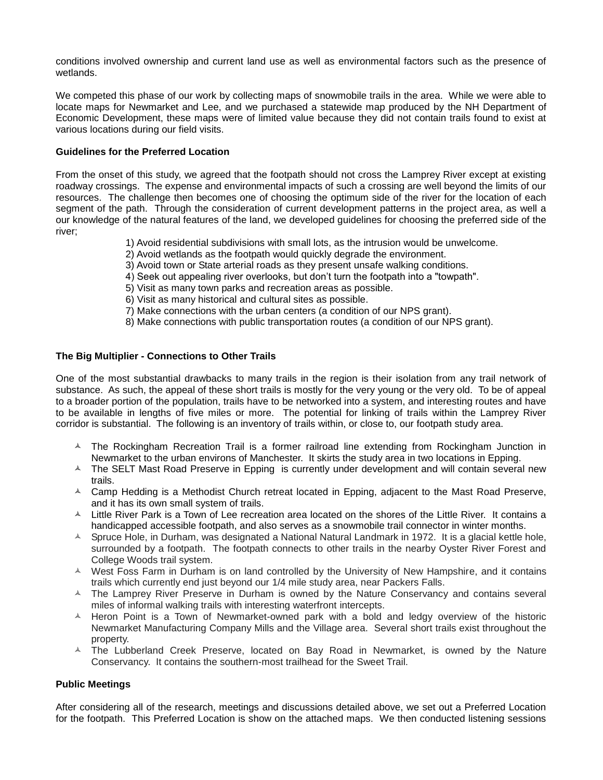conditions involved ownership and current land use as well as environmental factors such as the presence of wetlands.

We competed this phase of our work by collecting maps of snowmobile trails in the area. While we were able to locate maps for Newmarket and Lee, and we purchased a statewide map produced by the NH Department of Economic Development, these maps were of limited value because they did not contain trails found to exist at various locations during our field visits.

# **Guidelines for the Preferred Location**

From the onset of this study, we agreed that the footpath should not cross the Lamprey River except at existing roadway crossings. The expense and environmental impacts of such a crossing are well beyond the limits of our resources. The challenge then becomes one of choosing the optimum side of the river for the location of each segment of the path. Through the consideration of current development patterns in the project area, as well a our knowledge of the natural features of the land, we developed guidelines for choosing the preferred side of the river;

- 1) Avoid residential subdivisions with small lots, as the intrusion would be unwelcome.
- 2) Avoid wetlands as the footpath would quickly degrade the environment.
- 3) Avoid town or State arterial roads as they present unsafe walking conditions.
- 4) Seek out appealing river overlooks, but don't turn the footpath into a "towpath".
- 5) Visit as many town parks and recreation areas as possible.
- 6) Visit as many historical and cultural sites as possible.
- 7) Make connections with the urban centers (a condition of our NPS grant).
- 8) Make connections with public transportation routes (a condition of our NPS grant).

# **The Big Multiplier - Connections to Other Trails**

One of the most substantial drawbacks to many trails in the region is their isolation from any trail network of substance. As such, the appeal of these short trails is mostly for the very young or the very old. To be of appeal to a broader portion of the population, trails have to be networked into a system, and interesting routes and have to be available in lengths of five miles or more. The potential for linking of trails within the Lamprey River corridor is substantial. The following is an inventory of trails within, or close to, our footpath study area.

- $\triangle$  The Rockingham Recreation Trail is a former railroad line extending from Rockingham Junction in Newmarket to the urban environs of Manchester. It skirts the study area in two locations in Epping.
- $\triangle$  The SELT Mast Road Preserve in Epping is currently under development and will contain several new trails.
- $\sim$  Camp Hedding is a Methodist Church retreat located in Epping, adjacent to the Mast Road Preserve, and it has its own small system of trails.
- A Little River Park is a Town of Lee recreation area located on the shores of the Little River. It contains a handicapped accessible footpath, and also serves as a snowmobile trail connector in winter months.
- $\triangle$  Spruce Hole, in Durham, was designated a National Natural Landmark in 1972. It is a glacial kettle hole, surrounded by a footpath. The footpath connects to other trails in the nearby Oyster River Forest and College Woods trail system.
- A West Foss Farm in Durham is on land controlled by the University of New Hampshire, and it contains trails which currently end just beyond our 1/4 mile study area, near Packers Falls.
- $\lambda$  The Lamprey River Preserve in Durham is owned by the Nature Conservancy and contains several miles of informal walking trails with interesting waterfront intercepts.
- $\overline{A}$  Heron Point is a Town of Newmarket-owned park with a bold and ledgy overview of the historic Newmarket Manufacturing Company Mills and the Village area. Several short trails exist throughout the property.
- $\triangle$  The Lubberland Creek Preserve, located on Bay Road in Newmarket, is owned by the Nature Conservancy. It contains the southern-most trailhead for the Sweet Trail.

## **Public Meetings**

After considering all of the research, meetings and discussions detailed above, we set out a Preferred Location for the footpath. This Preferred Location is show on the attached maps. We then conducted listening sessions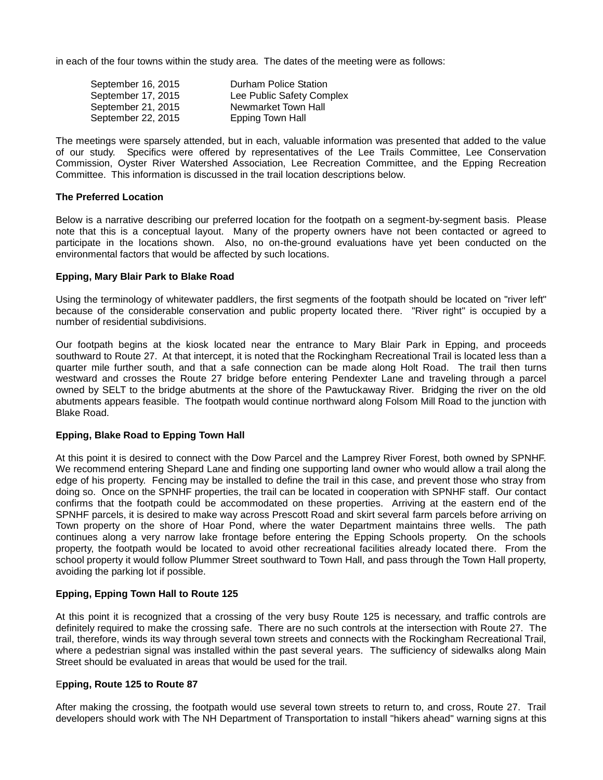in each of the four towns within the study area. The dates of the meeting were as follows:

| September 16, 2015 | Durham Police Station     |
|--------------------|---------------------------|
| September 17, 2015 | Lee Public Safety Complex |
| September 21, 2015 | Newmarket Town Hall       |
| September 22, 2015 | Epping Town Hall          |

The meetings were sparsely attended, but in each, valuable information was presented that added to the value of our study. Specifics were offered by representatives of the Lee Trails Committee, Lee Conservation Commission, Oyster River Watershed Association, Lee Recreation Committee, and the Epping Recreation Committee. This information is discussed in the trail location descriptions below.

# **The Preferred Location**

Below is a narrative describing our preferred location for the footpath on a segment-by-segment basis. Please note that this is a conceptual layout. Many of the property owners have not been contacted or agreed to participate in the locations shown. Also, no on-the-ground evaluations have yet been conducted on the environmental factors that would be affected by such locations.

# **Epping, Mary Blair Park to Blake Road**

Using the terminology of whitewater paddlers, the first segments of the footpath should be located on "river left" because of the considerable conservation and public property located there. "River right" is occupied by a number of residential subdivisions.

Our footpath begins at the kiosk located near the entrance to Mary Blair Park in Epping, and proceeds southward to Route 27. At that intercept, it is noted that the Rockingham Recreational Trail is located less than a quarter mile further south, and that a safe connection can be made along Holt Road. The trail then turns westward and crosses the Route 27 bridge before entering Pendexter Lane and traveling through a parcel owned by SELT to the bridge abutments at the shore of the Pawtuckaway River. Bridging the river on the old abutments appears feasible. The footpath would continue northward along Folsom Mill Road to the junction with Blake Road.

## **Epping, Blake Road to Epping Town Hall**

At this point it is desired to connect with the Dow Parcel and the Lamprey River Forest, both owned by SPNHF. We recommend entering Shepard Lane and finding one supporting land owner who would allow a trail along the edge of his property. Fencing may be installed to define the trail in this case, and prevent those who stray from doing so. Once on the SPNHF properties, the trail can be located in cooperation with SPNHF staff. Our contact confirms that the footpath could be accommodated on these properties. Arriving at the eastern end of the SPNHF parcels, it is desired to make way across Prescott Road and skirt several farm parcels before arriving on Town property on the shore of Hoar Pond, where the water Department maintains three wells. The path continues along a very narrow lake frontage before entering the Epping Schools property. On the schools property, the footpath would be located to avoid other recreational facilities already located there. From the school property it would follow Plummer Street southward to Town Hall, and pass through the Town Hall property, avoiding the parking lot if possible.

## **Epping, Epping Town Hall to Route 125**

At this point it is recognized that a crossing of the very busy Route 125 is necessary, and traffic controls are definitely required to make the crossing safe. There are no such controls at the intersection with Route 27. The trail, therefore, winds its way through several town streets and connects with the Rockingham Recreational Trail, where a pedestrian signal was installed within the past several years. The sufficiency of sidewalks along Main Street should be evaluated in areas that would be used for the trail.

## E**pping, Route 125 to Route 87**

After making the crossing, the footpath would use several town streets to return to, and cross, Route 27. Trail developers should work with The NH Department of Transportation to install "hikers ahead" warning signs at this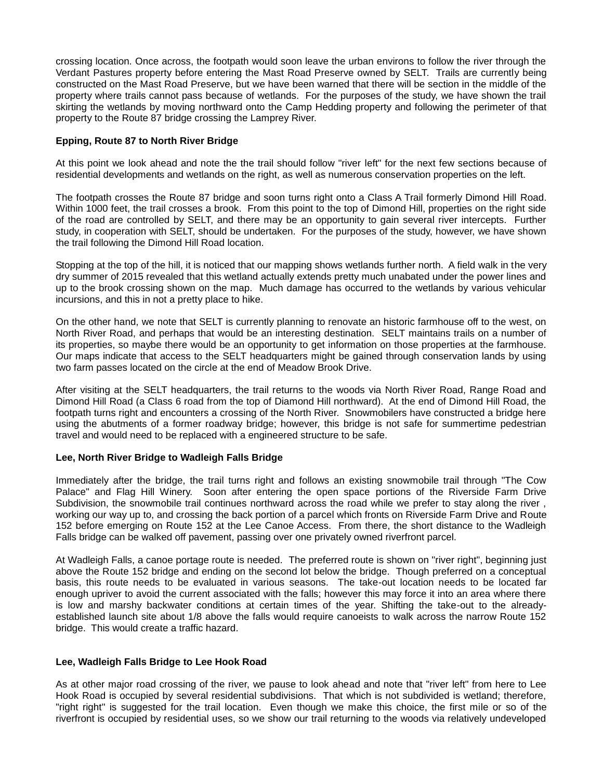crossing location. Once across, the footpath would soon leave the urban environs to follow the river through the Verdant Pastures property before entering the Mast Road Preserve owned by SELT. Trails are currently being constructed on the Mast Road Preserve, but we have been warned that there will be section in the middle of the property where trails cannot pass because of wetlands. For the purposes of the study, we have shown the trail skirting the wetlands by moving northward onto the Camp Hedding property and following the perimeter of that property to the Route 87 bridge crossing the Lamprey River.

## **Epping, Route 87 to North River Bridge**

At this point we look ahead and note the the trail should follow "river left" for the next few sections because of residential developments and wetlands on the right, as well as numerous conservation properties on the left.

The footpath crosses the Route 87 bridge and soon turns right onto a Class A Trail formerly Dimond Hill Road. Within 1000 feet, the trail crosses a brook. From this point to the top of Dimond Hill, properties on the right side of the road are controlled by SELT, and there may be an opportunity to gain several river intercepts. Further study, in cooperation with SELT, should be undertaken. For the purposes of the study, however, we have shown the trail following the Dimond Hill Road location.

Stopping at the top of the hill, it is noticed that our mapping shows wetlands further north. A field walk in the very dry summer of 2015 revealed that this wetland actually extends pretty much unabated under the power lines and up to the brook crossing shown on the map. Much damage has occurred to the wetlands by various vehicular incursions, and this in not a pretty place to hike.

On the other hand, we note that SELT is currently planning to renovate an historic farmhouse off to the west, on North River Road, and perhaps that would be an interesting destination. SELT maintains trails on a number of its properties, so maybe there would be an opportunity to get information on those properties at the farmhouse. Our maps indicate that access to the SELT headquarters might be gained through conservation lands by using two farm passes located on the circle at the end of Meadow Brook Drive.

After visiting at the SELT headquarters, the trail returns to the woods via North River Road, Range Road and Dimond Hill Road (a Class 6 road from the top of Diamond Hill northward). At the end of Dimond Hill Road, the footpath turns right and encounters a crossing of the North River. Snowmobilers have constructed a bridge here using the abutments of a former roadway bridge; however, this bridge is not safe for summertime pedestrian travel and would need to be replaced with a engineered structure to be safe.

## **Lee, North River Bridge to Wadleigh Falls Bridge**

Immediately after the bridge, the trail turns right and follows an existing snowmobile trail through "The Cow Palace" and Flag Hill Winery. Soon after entering the open space portions of the Riverside Farm Drive Subdivision, the snowmobile trail continues northward across the road while we prefer to stay along the river , working our way up to, and crossing the back portion of a parcel which fronts on Riverside Farm Drive and Route 152 before emerging on Route 152 at the Lee Canoe Access. From there, the short distance to the Wadleigh Falls bridge can be walked off pavement, passing over one privately owned riverfront parcel.

At Wadleigh Falls, a canoe portage route is needed. The preferred route is shown on "river right", beginning just above the Route 152 bridge and ending on the second lot below the bridge. Though preferred on a conceptual basis, this route needs to be evaluated in various seasons. The take-out location needs to be located far enough upriver to avoid the current associated with the falls; however this may force it into an area where there is low and marshy backwater conditions at certain times of the year. Shifting the take-out to the alreadyestablished launch site about 1/8 above the falls would require canoeists to walk across the narrow Route 152 bridge. This would create a traffic hazard.

## **Lee, Wadleigh Falls Bridge to Lee Hook Road**

As at other major road crossing of the river, we pause to look ahead and note that "river left" from here to Lee Hook Road is occupied by several residential subdivisions. That which is not subdivided is wetland; therefore, "right right" is suggested for the trail location. Even though we make this choice, the first mile or so of the riverfront is occupied by residential uses, so we show our trail returning to the woods via relatively undeveloped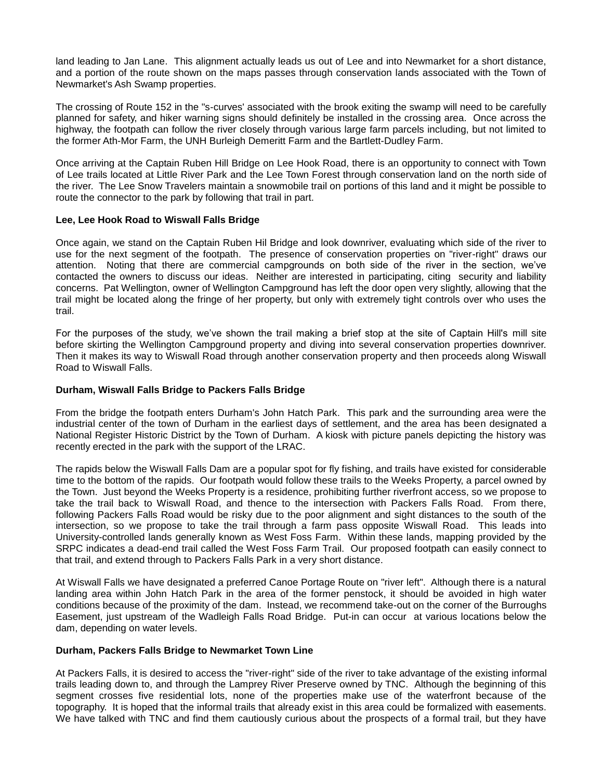land leading to Jan Lane. This alignment actually leads us out of Lee and into Newmarket for a short distance, and a portion of the route shown on the maps passes through conservation lands associated with the Town of Newmarket's Ash Swamp properties.

The crossing of Route 152 in the "s-curves' associated with the brook exiting the swamp will need to be carefully planned for safety, and hiker warning signs should definitely be installed in the crossing area. Once across the highway, the footpath can follow the river closely through various large farm parcels including, but not limited to the former Ath-Mor Farm, the UNH Burleigh Demeritt Farm and the Bartlett-Dudley Farm.

Once arriving at the Captain Ruben Hill Bridge on Lee Hook Road, there is an opportunity to connect with Town of Lee trails located at Little River Park and the Lee Town Forest through conservation land on the north side of the river. The Lee Snow Travelers maintain a snowmobile trail on portions of this land and it might be possible to route the connector to the park by following that trail in part.

## **Lee, Lee Hook Road to Wiswall Falls Bridge**

Once again, we stand on the Captain Ruben Hil Bridge and look downriver, evaluating which side of the river to use for the next segment of the footpath. The presence of conservation properties on "river-right" draws our attention. Noting that there are commercial campgrounds on both side of the river in the section, we've contacted the owners to discuss our ideas. Neither are interested in participating, citing security and liability concerns. Pat Wellington, owner of Wellington Campground has left the door open very slightly, allowing that the trail might be located along the fringe of her property, but only with extremely tight controls over who uses the trail.

For the purposes of the study, we've shown the trail making a brief stop at the site of Captain Hill's mill site before skirting the Wellington Campground property and diving into several conservation properties downriver. Then it makes its way to Wiswall Road through another conservation property and then proceeds along Wiswall Road to Wiswall Falls.

#### **Durham, Wiswall Falls Bridge to Packers Falls Bridge**

From the bridge the footpath enters Durham's John Hatch Park. This park and the surrounding area were the industrial center of the town of Durham in the earliest days of settlement, and the area has been designated a National Register Historic District by the Town of Durham. A kiosk with picture panels depicting the history was recently erected in the park with the support of the LRAC.

The rapids below the Wiswall Falls Dam are a popular spot for fly fishing, and trails have existed for considerable time to the bottom of the rapids. Our footpath would follow these trails to the Weeks Property, a parcel owned by the Town. Just beyond the Weeks Property is a residence, prohibiting further riverfront access, so we propose to take the trail back to Wiswall Road, and thence to the intersection with Packers Falls Road. From there, following Packers Falls Road would be risky due to the poor alignment and sight distances to the south of the intersection, so we propose to take the trail through a farm pass opposite Wiswall Road. This leads into University-controlled lands generally known as West Foss Farm. Within these lands, mapping provided by the SRPC indicates a dead-end trail called the West Foss Farm Trail. Our proposed footpath can easily connect to that trail, and extend through to Packers Falls Park in a very short distance.

At Wiswall Falls we have designated a preferred Canoe Portage Route on "river left". Although there is a natural landing area within John Hatch Park in the area of the former penstock, it should be avoided in high water conditions because of the proximity of the dam. Instead, we recommend take-out on the corner of the Burroughs Easement, just upstream of the Wadleigh Falls Road Bridge. Put-in can occur at various locations below the dam, depending on water levels.

#### **Durham, Packers Falls Bridge to Newmarket Town Line**

At Packers Falls, it is desired to access the "river-right" side of the river to take advantage of the existing informal trails leading down to, and through the Lamprey River Preserve owned by TNC. Although the beginning of this segment crosses five residential lots, none of the properties make use of the waterfront because of the topography. It is hoped that the informal trails that already exist in this area could be formalized with easements. We have talked with TNC and find them cautiously curious about the prospects of a formal trail, but they have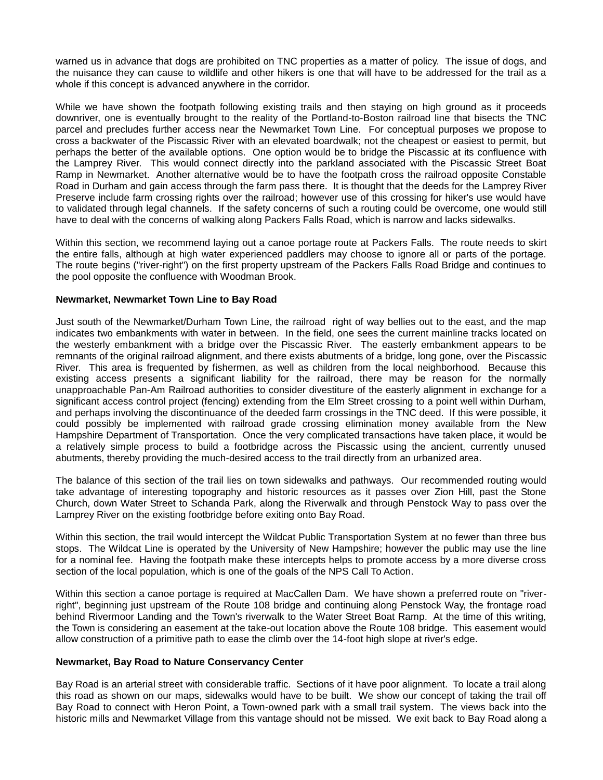warned us in advance that dogs are prohibited on TNC properties as a matter of policy. The issue of dogs, and the nuisance they can cause to wildlife and other hikers is one that will have to be addressed for the trail as a whole if this concept is advanced anywhere in the corridor.

While we have shown the footpath following existing trails and then staying on high ground as it proceeds downriver, one is eventually brought to the reality of the Portland-to-Boston railroad line that bisects the TNC parcel and precludes further access near the Newmarket Town Line. For conceptual purposes we propose to cross a backwater of the Piscassic River with an elevated boardwalk; not the cheapest or easiest to permit, but perhaps the better of the available options. One option would be to bridge the Piscassic at its confluence with the Lamprey River. This would connect directly into the parkland associated with the Piscassic Street Boat Ramp in Newmarket. Another alternative would be to have the footpath cross the railroad opposite Constable Road in Durham and gain access through the farm pass there. It is thought that the deeds for the Lamprey River Preserve include farm crossing rights over the railroad; however use of this crossing for hiker's use would have to validated through legal channels. If the safety concerns of such a routing could be overcome, one would still have to deal with the concerns of walking along Packers Falls Road, which is narrow and lacks sidewalks.

Within this section, we recommend laying out a canoe portage route at Packers Falls. The route needs to skirt the entire falls, although at high water experienced paddlers may choose to ignore all or parts of the portage. The route begins ("river-right") on the first property upstream of the Packers Falls Road Bridge and continues to the pool opposite the confluence with Woodman Brook.

#### **Newmarket, Newmarket Town Line to Bay Road**

Just south of the Newmarket/Durham Town Line, the railroad right of way bellies out to the east, and the map indicates two embankments with water in between. In the field, one sees the current mainline tracks located on the westerly embankment with a bridge over the Piscassic River. The easterly embankment appears to be remnants of the original railroad alignment, and there exists abutments of a bridge, long gone, over the Piscassic River. This area is frequented by fishermen, as well as children from the local neighborhood. Because this existing access presents a significant liability for the railroad, there may be reason for the normally unapproachable Pan-Am Railroad authorities to consider divestiture of the easterly alignment in exchange for a significant access control project (fencing) extending from the Elm Street crossing to a point well within Durham, and perhaps involving the discontinuance of the deeded farm crossings in the TNC deed. If this were possible, it could possibly be implemented with railroad grade crossing elimination money available from the New Hampshire Department of Transportation. Once the very complicated transactions have taken place, it would be a relatively simple process to build a footbridge across the Piscassic using the ancient, currently unused abutments, thereby providing the much-desired access to the trail directly from an urbanized area.

The balance of this section of the trail lies on town sidewalks and pathways. Our recommended routing would take advantage of interesting topography and historic resources as it passes over Zion Hill, past the Stone Church, down Water Street to Schanda Park, along the Riverwalk and through Penstock Way to pass over the Lamprey River on the existing footbridge before exiting onto Bay Road.

Within this section, the trail would intercept the Wildcat Public Transportation System at no fewer than three bus stops. The Wildcat Line is operated by the University of New Hampshire; however the public may use the line for a nominal fee. Having the footpath make these intercepts helps to promote access by a more diverse cross section of the local population, which is one of the goals of the NPS Call To Action.

Within this section a canoe portage is required at MacCallen Dam. We have shown a preferred route on "riverright", beginning just upstream of the Route 108 bridge and continuing along Penstock Way, the frontage road behind Rivermoor Landing and the Town's riverwalk to the Water Street Boat Ramp. At the time of this writing, the Town is considering an easement at the take-out location above the Route 108 bridge. This easement would allow construction of a primitive path to ease the climb over the 14-foot high slope at river's edge.

#### **Newmarket, Bay Road to Nature Conservancy Center**

Bay Road is an arterial street with considerable traffic. Sections of it have poor alignment. To locate a trail along this road as shown on our maps, sidewalks would have to be built. We show our concept of taking the trail off Bay Road to connect with Heron Point, a Town-owned park with a small trail system. The views back into the historic mills and Newmarket Village from this vantage should not be missed. We exit back to Bay Road along a